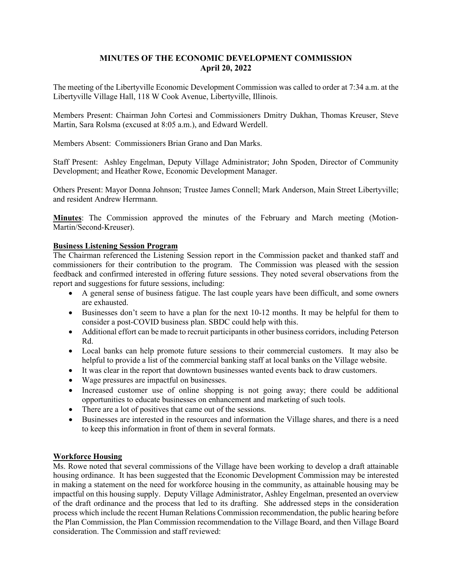## **MINUTES OF THE ECONOMIC DEVELOPMENT COMMISSION April 20, 2022**

The meeting of the Libertyville Economic Development Commission was called to order at 7:34 a.m. at the Libertyville Village Hall, 118 W Cook Avenue, Libertyville, Illinois.

Members Present: Chairman John Cortesi and Commissioners Dmitry Dukhan, Thomas Kreuser, Steve Martin, Sara Rolsma (excused at 8:05 a.m.), and Edward Werdell.

Members Absent: Commissioners Brian Grano and Dan Marks.

Staff Present: Ashley Engelman, Deputy Village Administrator; John Spoden, Director of Community Development; and Heather Rowe, Economic Development Manager.

Others Present: Mayor Donna Johnson; Trustee James Connell; Mark Anderson, Main Street Libertyville; and resident Andrew Herrmann.

**Minutes**: The Commission approved the minutes of the February and March meeting (Motion-Martin/Second-Kreuser).

### **Business Listening Session Program**

The Chairman referenced the Listening Session report in the Commission packet and thanked staff and commissioners for their contribution to the program. The Commission was pleased with the session feedback and confirmed interested in offering future sessions. They noted several observations from the report and suggestions for future sessions, including:

- A general sense of business fatigue. The last couple years have been difficult, and some owners are exhausted.
- Businesses don't seem to have a plan for the next 10-12 months. It may be helpful for them to consider a post-COVID business plan. SBDC could help with this.
- Additional effort can be made to recruit participants in other business corridors, including Peterson Rd.
- Local banks can help promote future sessions to their commercial customers. It may also be helpful to provide a list of the commercial banking staff at local banks on the Village website.
- It was clear in the report that downtown businesses wanted events back to draw customers.
- Wage pressures are impactful on businesses.
- Increased customer use of online shopping is not going away; there could be additional opportunities to educate businesses on enhancement and marketing of such tools.
- There are a lot of positives that came out of the sessions.
- Businesses are interested in the resources and information the Village shares, and there is a need to keep this information in front of them in several formats.

## **Workforce Housing**

Ms. Rowe noted that several commissions of the Village have been working to develop a draft attainable housing ordinance. It has been suggested that the Economic Development Commission may be interested in making a statement on the need for workforce housing in the community, as attainable housing may be impactful on this housing supply. Deputy Village Administrator, Ashley Engelman, presented an overview of the draft ordinance and the process that led to its drafting. She addressed steps in the consideration process which include the recent Human Relations Commission recommendation, the public hearing before the Plan Commission, the Plan Commission recommendation to the Village Board, and then Village Board consideration. The Commission and staff reviewed: